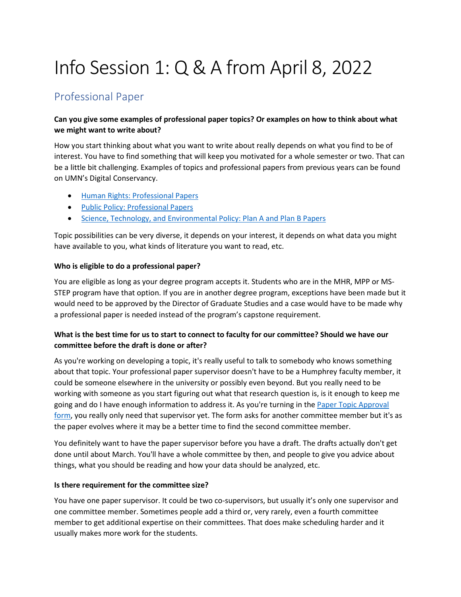# Info Session 1: Q & A from April 8, 2022

# Professional Paper

#### **Can you give some examples of professional paper topics? Or examples on how to think about what we might want to write about?**

How you start thinking about what you want to write about really depends on what you find to be of interest. You have to find something that will keep you motivated for a whole semester or two. That can be a little bit challenging. Examples of topics and professional papers from previous years can be found on UMN's Digital Conservancy.

- [Human Rights: Professional Papers](https://hdl.handle.net/11299/208481)
- [Public Policy: Professional Papers](https://hdl.handle.net/11299/43903)
- [Science, Technology, and Environmental Policy: Plan A and Plan B Papers](https://hdl.handle.net/11299/43905)

Topic possibilities can be very diverse, it depends on your interest, it depends on what data you might have available to you, what kinds of literature you want to read, etc.

#### **Who is eligible to do a professional paper?**

You are eligible as long as your degree program accepts it. Students who are in the MHR, MPP or MS-STEP program have that option. If you are in another degree program, exceptions have been made but it would need to be approved by the Director of Graduate Studies and a case would have to be made why a professional paper is needed instead of the program's capstone requirement.

## **What is the best time for us to start to connect to faculty for our committee? Should we have our committee before the draft is done or after?**

As you're working on developing a topic, it's really useful to talk to somebody who knows something about that topic. Your professional paper supervisor doesn't have to be a Humphrey faculty member, it could be someone elsewhere in the university or possibly even beyond. But you really need to be working with someone as you start figuring out what that research question is, is it enough to keep me going and do I have enough information to address it. As you're turning in the [Paper Topic Approval](https://docs.google.com/document/d/1dMm8Diy8DMUM3NSxxhUepvKUIZiz_hH0/edit?usp=sharing&ouid=107480805854457382721&rtpof=true&sd=true)  [form,](https://docs.google.com/document/d/1dMm8Diy8DMUM3NSxxhUepvKUIZiz_hH0/edit?usp=sharing&ouid=107480805854457382721&rtpof=true&sd=true) you really only need that supervisor yet. The form asks for another committee member but it's as the paper evolves where it may be a better time to find the second committee member.

You definitely want to have the paper supervisor before you have a draft. The drafts actually don't get done until about March. You'll have a whole committee by then, and people to give you advice about things, what you should be reading and how your data should be analyzed, etc.

#### **Is there requirement for the committee size?**

You have one paper supervisor. It could be two co-supervisors, but usually it's only one supervisor and one committee member. Sometimes people add a third or, very rarely, even a fourth committee member to get additional expertise on their committees. That does make scheduling harder and it usually makes more work for the students.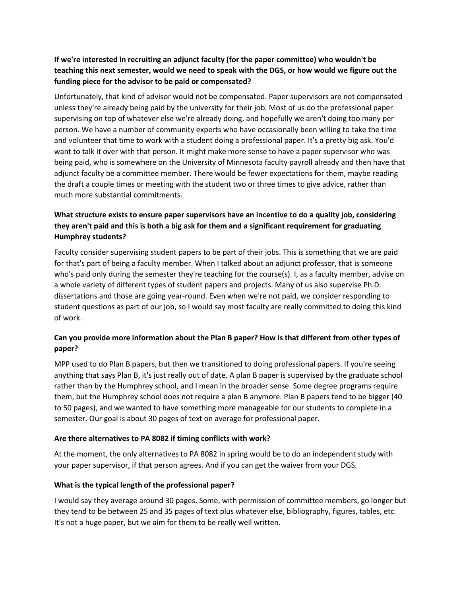#### **If we're interested in recruiting an adjunct faculty (for the paper committee) who wouldn't be teaching this next semester, would we need to speak with the DGS, or how would we figure out the funding piece for the advisor to be paid or compensated?**

Unfortunately, that kind of advisor would not be compensated. Paper supervisors are not compensated unless they're already being paid by the university for their job. Most of us do the professional paper supervising on top of whatever else we're already doing, and hopefully we aren't doing too many per person. We have a number of community experts who have occasionally been willing to take the time and volunteer that time to work with a student doing a professional paper. It's a pretty big ask. You'd want to talk it over with that person. It might make more sense to have a paper supervisor who was being paid, who is somewhere on the University of Minnesota faculty payroll already and then have that adjunct faculty be a committee member. There would be fewer expectations for them, maybe reading the draft a couple times or meeting with the student two or three times to give advice, rather than much more substantial commitments.

## **What structure exists to ensure paper supervisors have an incentive to do a quality job, considering they aren't paid and this is both a big ask for them and a significant requirement for graduating Humphrey students?**

Faculty consider supervising student papers to be part of their jobs. This is something that we are paid for that's part of being a faculty member. When I talked about an adjunct professor, that is someone who's paid only during the semester they're teaching for the course(s). I, as a faculty member, advise on a whole variety of different types of student papers and projects. Many of us also supervise Ph.D. dissertations and those are going year-round. Even when we're not paid, we consider responding to student questions as part of our job, so I would say most faculty are really committed to doing this kind of work.

## **Can you provide more information about the Plan B paper? How is that different from other types of paper?**

MPP used to do Plan B papers, but then we transitioned to doing professional papers. If you're seeing anything that says Plan B, it's just really out of date. A plan B paper is supervised by the graduate school rather than by the Humphrey school, and I mean in the broader sense. Some degree programs require them, but the Humphrey school does not require a plan B anymore. Plan B papers tend to be bigger (40 to 50 pages), and we wanted to have something more manageable for our students to complete in a semester. Our goal is about 30 pages of text on average for professional paper.

#### **Are there alternatives to PA 8082 if timing conflicts with work?**

At the moment, the only alternatives to PA 8082 in spring would be to do an independent study with your paper supervisor, if that person agrees. And if you can get the waiver from your DGS.

#### **What is the typical length of the professional paper?**

I would say they average around 30 pages. Some, with permission of committee members, go longer but they tend to be between 25 and 35 pages of text plus whatever else, bibliography, figures, tables, etc. It's not a huge paper, but we aim for them to be really well written.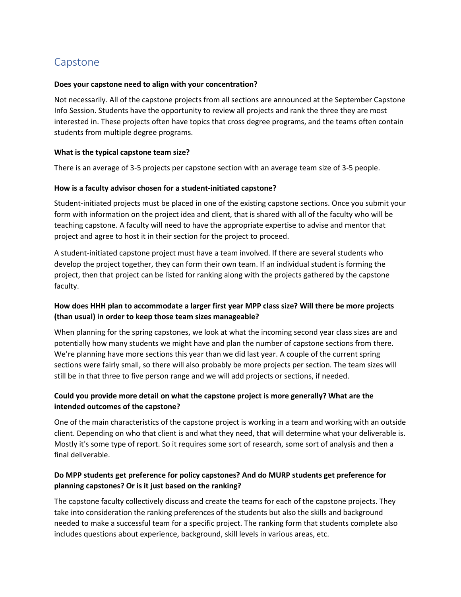# Capstone

#### **Does your capstone need to align with your concentration?**

Not necessarily. All of the capstone projects from all sections are announced at the September Capstone Info Session. Students have the opportunity to review all projects and rank the three they are most interested in. These projects often have topics that cross degree programs, and the teams often contain students from multiple degree programs.

#### **What is the typical capstone team size?**

There is an average of 3-5 projects per capstone section with an average team size of 3-5 people.

#### **How is a faculty advisor chosen for a student-initiated capstone?**

Student-initiated projects must be placed in one of the existing capstone sections. Once you submit your form with information on the project idea and client, that is shared with all of the faculty who will be teaching capstone. A faculty will need to have the appropriate expertise to advise and mentor that project and agree to host it in their section for the project to proceed.

A student-initiated capstone project must have a team involved. If there are several students who develop the project together, they can form their own team. If an individual student is forming the project, then that project can be listed for ranking along with the projects gathered by the capstone faculty.

#### **How does HHH plan to accommodate a larger first year MPP class size? Will there be more projects (than usual) in order to keep those team sizes manageable?**

When planning for the spring capstones, we look at what the incoming second year class sizes are and potentially how many students we might have and plan the number of capstone sections from there. We're planning have more sections this year than we did last year. A couple of the current spring sections were fairly small, so there will also probably be more projects per section. The team sizes will still be in that three to five person range and we will add projects or sections, if needed.

#### **Could you provide more detail on what the capstone project is more generally? What are the intended outcomes of the capstone?**

One of the main characteristics of the capstone project is working in a team and working with an outside client. Depending on who that client is and what they need, that will determine what your deliverable is. Mostly it's some type of report. So it requires some sort of research, some sort of analysis and then a final deliverable.

#### **Do MPP students get preference for policy capstones? And do MURP students get preference for planning capstones? Or is it just based on the ranking?**

The capstone faculty collectively discuss and create the teams for each of the capstone projects. They take into consideration the ranking preferences of the students but also the skills and background needed to make a successful team for a specific project. The ranking form that students complete also includes questions about experience, background, skill levels in various areas, etc.